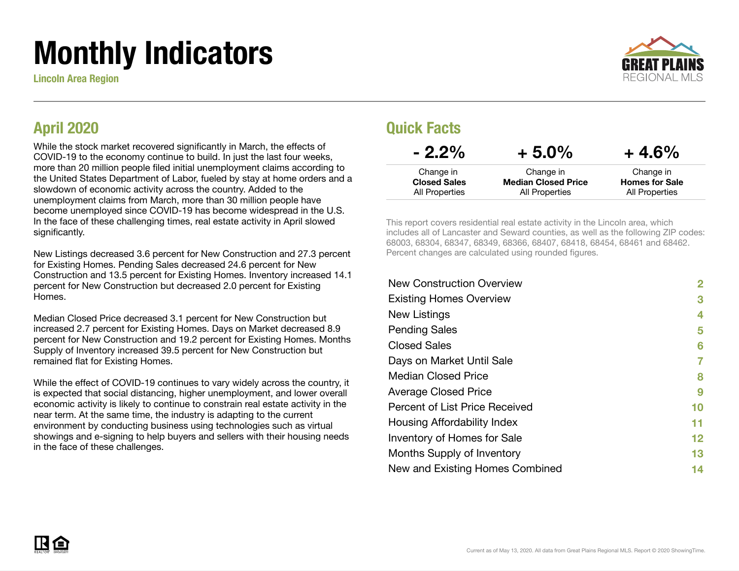# Monthly Indicators

Lincoln Area Region



#### April 2020

While the stock market recovered significantly in March, the effects of COVID-19 to the economy continue to build. In just the last four weeks, more than 20 million people filed initial unemployment claims according to the United States Department of Labor, fueled by stay at home orders and a slowdown of economic activity across the country. Added to the unemployment claims from March, more than 30 million people have become unemployed since COVID-19 has become widespread in the U.S. In the face of these challenging times, real estate activity in April slowed significantly.

New Listings decreased 3.6 percent for New Construction and 27.3 percent for Existing Homes. Pending Sales decreased 24.6 percent for New Construction and 13.5 percent for Existing Homes. Inventory increased 14.1 percent for New Construction but decreased 2.0 percent for Existing Homes.

Median Closed Price decreased 3.1 percent for New Construction but increased 2.7 percent for Existing Homes. Days on Market decreased 8.9 percent for New Construction and 19.2 percent for Existing Homes. Months Supply of Inventory increased 39.5 percent for New Construction but remained flat for Existing Homes.

While the effect of COVID-19 continues to vary widely across the country, it is expected that social distancing, higher unemployment, and lower overall economic activity is likely to continue to constrain real estate activity in the near term. At the same time, the industry is adapting to the current environment by conducting business using technologies such as virtual showings and e-signing to help buyers and sellers with their housing needs in the face of these challenges.

#### Quick Facts

| $-2.2\%$            | $+5.0\%$                   | $+4.6%$               |
|---------------------|----------------------------|-----------------------|
| Change in           | Change in                  | Change in             |
| <b>Closed Sales</b> | <b>Median Closed Price</b> | <b>Homes for Sale</b> |
| All Properties      | <b>All Properties</b>      | All Properties        |

This report covers residential real estate activity in the Lincoln area, which includes all of Lancaster and Seward counties, as well as the following ZIP codes: 68003, 68304, 68347, 68349, 68366, 68407, 68418, 68454, 68461 and 68462. Percent changes are calculated using rounded figures.

| 2  |
|----|
| 3  |
| 4  |
| 5  |
| 6  |
| 7  |
| 8  |
| 9  |
| 10 |
| 11 |
| 12 |
| 13 |
| 14 |
|    |

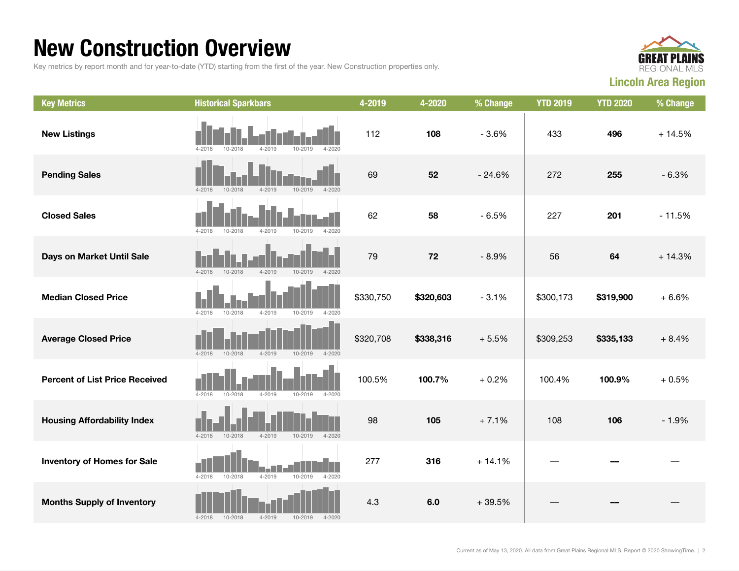#### New Construction Overview

Key metrics by report month and for year-to-date (YTD) starting from the first of the year. New Construction properties only.



| <b>Key Metrics</b>                    | <b>Historical Sparkbars</b>                                      | 4-2019    | 4-2020    | % Change | <b>YTD 2019</b> | <b>YTD 2020</b> | % Change |
|---------------------------------------|------------------------------------------------------------------|-----------|-----------|----------|-----------------|-----------------|----------|
| <b>New Listings</b>                   | 4-2018<br>10-2018<br>$4 - 2019$<br>10-2019<br>4-2020             | 112       | 108       | $-3.6%$  | 433             | 496             | $+14.5%$ |
| <b>Pending Sales</b>                  | $4 - 2019$<br>$4 - 2018$<br>10-2018<br>$10 - 2019$<br>$4 - 2020$ | 69        | 52        | $-24.6%$ | 272             | 255             | $-6.3%$  |
| <b>Closed Sales</b>                   | $4 - 2019$<br>10-2019<br>$4 - 2018$<br>10-2018<br>$4 - 2020$     | 62        | 58        | $-6.5%$  | 227             | 201             | $-11.5%$ |
| Days on Market Until Sale             | $4 - 2018$<br>10-2018<br>$4 - 2019$<br>10-2019<br>$4 - 2020$     | 79        | 72        | $-8.9%$  | 56              | 64              | $+14.3%$ |
| <b>Median Closed Price</b>            | $4 - 2018$<br>10-2018<br>$4 - 2019$<br>$10 - 2019$<br>$4 - 2020$ | \$330,750 | \$320,603 | $-3.1%$  | \$300,173       | \$319,900       | $+6.6%$  |
| <b>Average Closed Price</b>           | 4-2018<br>10-2018<br>4-2019<br>10-2019<br>4-2020                 | \$320,708 | \$338,316 | $+5.5%$  | \$309,253       | \$335,133       | $+8.4%$  |
| <b>Percent of List Price Received</b> | $4 - 2018$<br>10-2018<br>$4 - 2019$<br>10-2019<br>$4 - 2020$     | 100.5%    | 100.7%    | $+0.2%$  | 100.4%          | 100.9%          | $+0.5%$  |
| <b>Housing Affordability Index</b>    | $4 - 2018$<br>$10 - 2018$<br>$4 - 2019$<br>10-2019<br>$4 - 2020$ | 98        | 105       | $+7.1%$  | 108             | 106             | $-1.9%$  |
| <b>Inventory of Homes for Sale</b>    | $4 - 2019$<br>10-2019<br>$4 - 2018$<br>$10 - 2018$<br>$4 - 2020$ | 277       | 316       | $+14.1%$ |                 |                 |          |
| <b>Months Supply of Inventory</b>     | $4 - 2019$<br>$4 - 2018$<br>10-2018<br>$10 - 2019$<br>$4 - 2020$ | 4.3       | 6.0       | $+39.5%$ |                 |                 |          |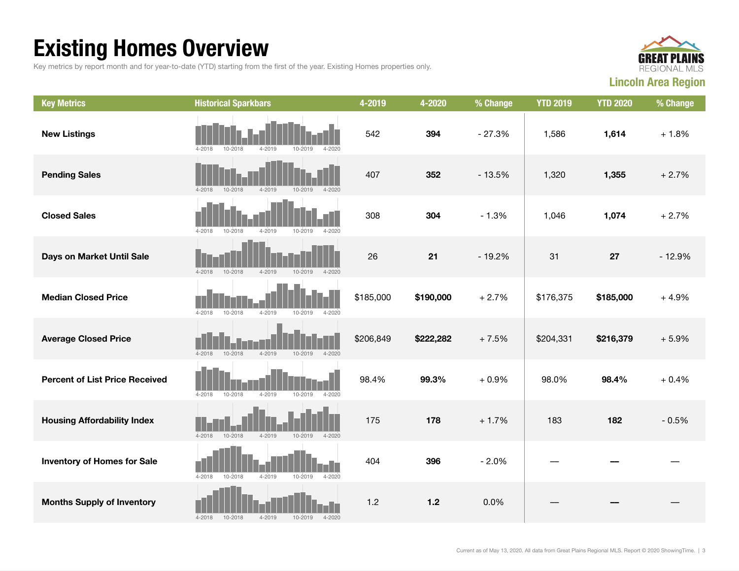### Existing Homes Overview

Key metrics by report month and for year-to-date (YTD) starting from the first of the year. Existing Homes properties only.



| <b>Key Metrics</b>                    | <b>Historical Sparkbars</b>                                          | 4-2019    | 4-2020    | % Change | <b>YTD 2019</b> | <b>YTD 2020</b> | % Change |
|---------------------------------------|----------------------------------------------------------------------|-----------|-----------|----------|-----------------|-----------------|----------|
| <b>New Listings</b>                   | 10-2018<br>$4 - 2019$<br>10-2019<br>$4 - 2020$<br>$4 - 2018$         | 542       | 394       | $-27.3%$ | 1,586           | 1,614           | $+1.8%$  |
| <b>Pending Sales</b>                  | $4 - 2018$<br>$10 - 2018$<br>$4 - 2019$<br>$4 - 2020$<br>$10 - 2019$ | 407       | 352       | $-13.5%$ | 1,320           | 1,355           | $+2.7%$  |
| <b>Closed Sales</b>                   | $4 - 2020$<br>$4 - 2018$<br>$10 - 2018$<br>$4 - 2019$<br>10-2019     | 308       | 304       | $-1.3%$  | 1,046           | 1,074           | $+2.7%$  |
| Days on Market Until Sale             | 10-2019<br>$4 - 2018$<br>10-2018<br>$4 - 2019$<br>$4 - 2020$         | 26        | 21        | $-19.2%$ | 31              | 27              | $-12.9%$ |
| <b>Median Closed Price</b>            | $4 - 2018$<br>$10 - 2018$<br>$4 - 2019$<br>$10 - 2019$<br>$4 - 2020$ | \$185,000 | \$190,000 | $+2.7%$  | \$176,375       | \$185,000       | $+4.9%$  |
| <b>Average Closed Price</b>           | $4 - 2018$<br>$4 - 2019$<br>10-2018<br>$10 - 2019$<br>$4 - 2020$     | \$206,849 | \$222,282 | $+7.5%$  | \$204,331       | \$216,379       | $+5.9%$  |
| <b>Percent of List Price Received</b> | $4 - 2018$<br>10-2018<br>$4 - 2019$<br>$10 - 2019$<br>$4 - 2020$     | 98.4%     | 99.3%     | $+0.9%$  | 98.0%           | 98.4%           | $+0.4%$  |
| <b>Housing Affordability Index</b>    | $4 - 2018$<br>10-2018<br>$4 - 2019$<br>10-2019<br>$4 - 2020$         | 175       | 178       | $+1.7%$  | 183             | 182             | $-0.5%$  |
| <b>Inventory of Homes for Sale</b>    | $4 - 2018$<br>10-2018<br>$4 - 2019$<br>10-2019<br>$4 - 2020$         | 404       | 396       | $-2.0%$  |                 |                 |          |
| <b>Months Supply of Inventory</b>     | $10 - 2018$<br>$4 - 2019$<br>$4 - 2018$<br>$10 - 2019$<br>$4 - 2020$ | 1.2       | $1.2$     | 0.0%     |                 |                 |          |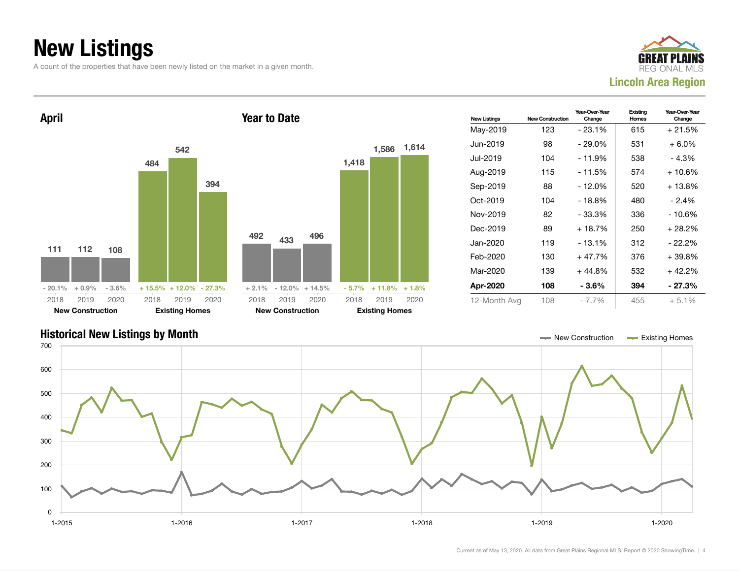### New Listings

A count of the properties that have been newly listed on the market in a given month.





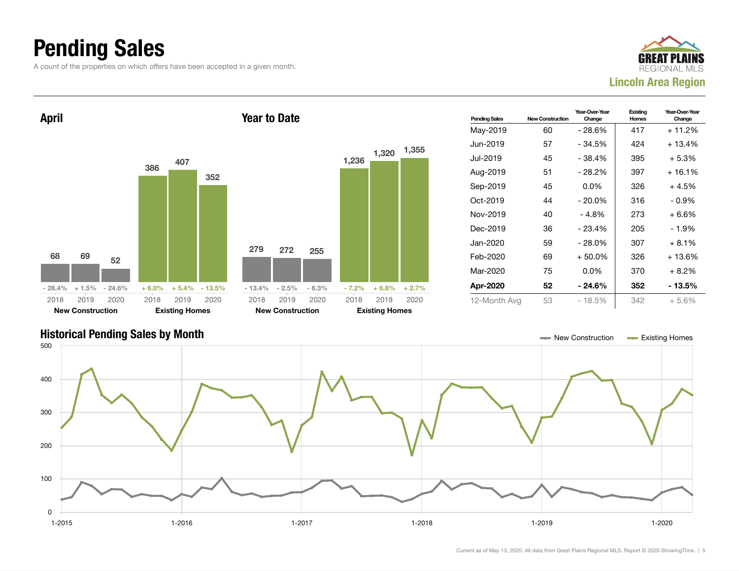### Pending Sales

A count of the properties on which offers have been accepted in a given month.





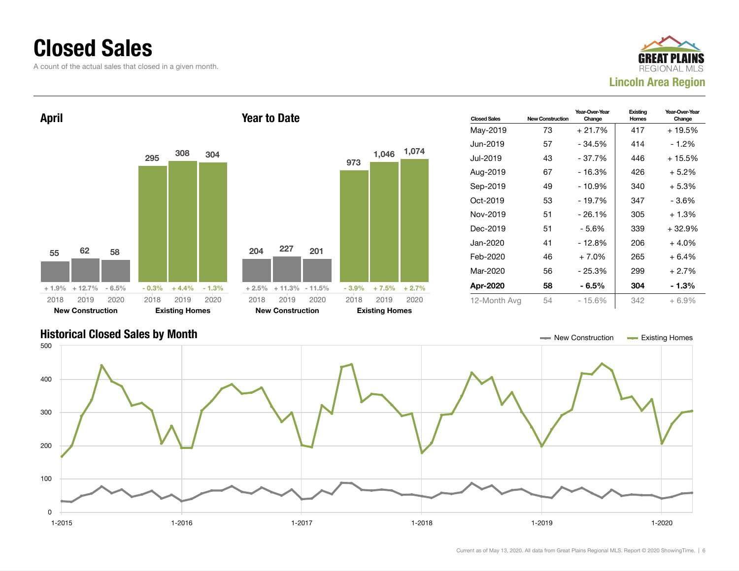#### Closed Sales

A count of the actual sales that closed in a given month.





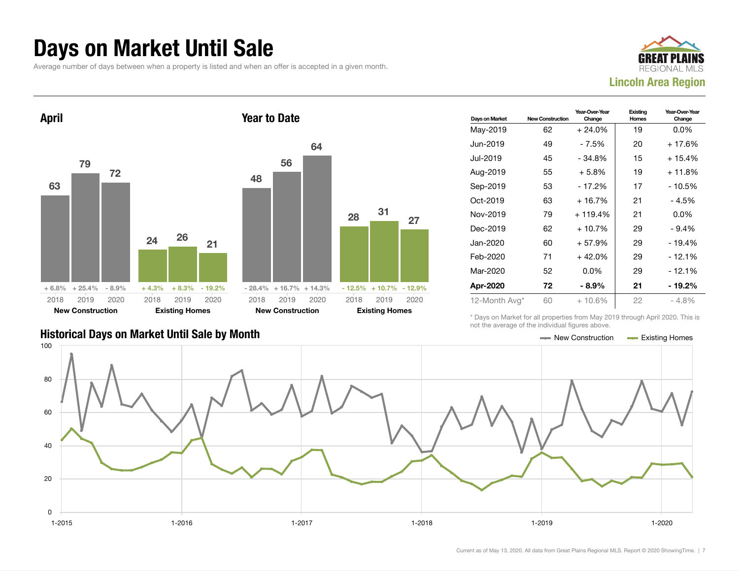#### Days on Market Until Sale

Average number of days between when a property is listed and when an offer is accepted in a given month.





| Days on Market | <b>New Construction</b> | Year-Over-Year<br>Change | Existing<br>Homes | Year-Over-Year<br>Change |
|----------------|-------------------------|--------------------------|-------------------|--------------------------|
| May-2019       | 62                      | $+24.0%$                 | 19                | $0.0\%$                  |
| Jun-2019       | 49                      | - 7.5%                   | 20                | $+17.6%$                 |
| Jul-2019       | 45                      | $-34.8%$                 | 15                | $+15.4%$                 |
| Aug-2019       | 55                      | $+5.8\%$                 | 19                | $+11.8%$                 |
| Sep-2019       | 53                      | - 17.2%                  | 17                | - 10.5%                  |
| Oct-2019       | 63                      | + 16.7%                  | 21                | - 4.5%                   |
| Nov-2019       | 79                      | $+119.4%$                | 21                | $0.0\%$                  |
| Dec-2019       | 62                      | + 10.7%                  | 29                | $-9.4%$                  |
| Jan-2020       | 60                      | $+57.9%$                 | 29                | - 19.4%                  |
| Feb-2020       | 71                      | $+42.0%$                 | 29                | - 12.1%                  |
| Mar-2020       | 52                      | $0.0\%$                  | 29                | - 12.1%                  |
| Apr-2020       | 72                      | $-8.9%$                  | 21                | - 19.2%                  |
| 12-Month Avg*  | 60                      | $+10.6%$                 | 22                | $-4.8%$                  |

Historical Days on Market Until Sale by Month New York New York New York New York New York New York Homes Existing Homes

\* Days on Market for all properties from May 2019 through April 2020. This is not the average of the individual figures above.

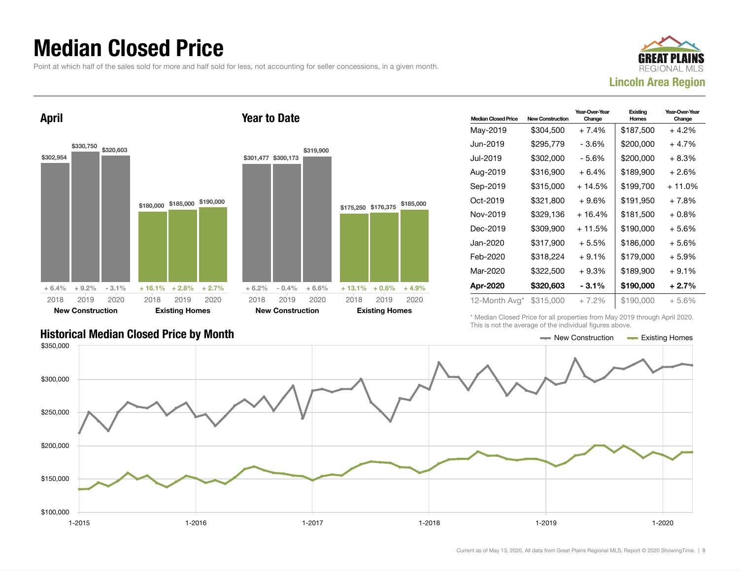#### Median Closed Price

Point at which half of the sales sold for more and half sold for less, not accounting for seller concessions, in a given month.



April \$302,954 \$330,750 \$320,603  $+ 6.4\% + 9.2\% - 3.1\%$ \$180,000 \$185,000 \$190,000  $+ 16.1\% + 2.8\% + 2.7\%$ 2018 New Construction 2019 2020 2018 Existing Homes 2019 2020 Year to Date \$301,477 \$300,173 \$319,900  $+ 6.2\% - 0.4\% + 6.6\%$ \$175,250 \$176,375 \$185,000  $+ 13.1\% + 0.6\% + 4.9\%$ 2018 New Construction 2019 2020 2018 Existing Homes

| <b>Median Closed Price</b> | <b>New Construction</b> | Year-Over-Year<br>Change | Existina<br>Homes | Year-Over-Year<br>Change |
|----------------------------|-------------------------|--------------------------|-------------------|--------------------------|
| May-2019                   | \$304,500               | $+7.4%$                  | \$187,500         | $+4.2%$                  |
| Jun-2019.                  | \$295,779               | - 3.6%                   | \$200,000         | $+4.7%$                  |
| Jul-2019.                  | \$302,000               | $-5.6%$                  | \$200,000         | $+8.3%$                  |
| Aug-2019                   | \$316,900               | $+6.4%$                  | \$189,900         | $+2.6%$                  |
| Sep-2019                   | \$315,000               | $+14.5%$                 | \$199.700         | $+11.0%$                 |
| Oct-2019                   | \$321,800               | $+9.6%$                  | \$191.950         | $+7.8%$                  |
| Nov-2019                   | \$329,136               | $+16.4%$                 | \$181,500         | $+0.8\%$                 |
| Dec-2019                   | \$309.900               | $+11.5%$                 | \$190,000         | $+5.6%$                  |
| Jan-2020                   | \$317,900               | $+5.5%$                  | \$186,000         | $+5.6%$                  |
| Feb-2020                   | \$318,224               | $+9.1%$                  | \$179,000         | $+5.9%$                  |
| Mar-2020                   | \$322,500               | $+9.3%$                  | \$189,900         | $+9.1%$                  |
| Apr-2020                   | \$320,603               | $-3.1\%$                 | \$190,000         | $+2.7%$                  |
| 12-Month Avg*              | \$315,000               | $+7.2%$                  | \$190,000         | $+5.6%$                  |

\* Median Closed Price for all properties from May 2019 through April 2020. This is not the average of the individual figures above.



2019 2020

#### Historical Median Closed Price by Month **New Construction Accord Price by Month** New Construction Accord Existing Homes

Current as of May 13, 2020. All data from Great Plains Regional MLS. Report © 2020 ShowingTime. | 8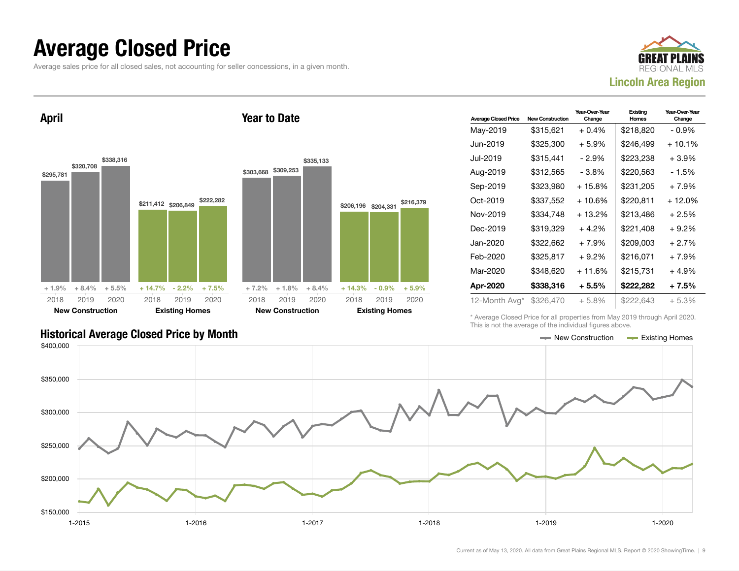#### Average Closed Price

Average sales price for all closed sales, not accounting for seller concessions, in a given month.



April



Year to Date

| <b>Average Closed Price</b> | <b>New Construction</b> | Year-Over-Year<br>Change | Existing<br>Homes | Year-Over-Year<br>Change |
|-----------------------------|-------------------------|--------------------------|-------------------|--------------------------|
| May-2019                    | \$315,621               | $+0.4%$                  | \$218,820         | $-0.9\%$                 |
| Jun-2019                    | \$325,300               | $+5.9\%$                 | \$246,499         | $+10.1%$                 |
| Jul-2019                    | \$315,441               | - 2.9%                   | \$223,238         | $+3.9%$                  |
| Aug-2019                    | \$312,565               | - 3.8%                   | \$220,563         | - 1.5%                   |
| Sep-2019                    | \$323,980               | $+15.8%$                 | \$231,205         | $+7.9%$                  |
| Oct-2019                    | \$337,552               | + 10.6%                  | \$220,811         | $+12.0%$                 |
| Nov-2019                    | \$334.748               | $+13.2%$                 | \$213.486         | $+2.5%$                  |
| Dec-2019                    | \$319,329               | $+4.2%$                  | \$221,408         | $+9.2\%$                 |
| Jan-2020                    | \$322.662               | $+7.9%$                  | \$209.003         | $+2.7%$                  |
| Feb-2020                    | \$325,817               | $+9.2\%$                 | \$216,071         | $+7.9%$                  |
| Mar-2020                    | \$348,620               | $+11.6%$                 | \$215,731         | $+4.9%$                  |
| Apr-2020                    | \$338,316               | $+5.5%$                  | \$222,282         | $+7.5%$                  |
| 12-Month Avg*               | \$326,470               | $+5.8%$                  | \$222,643         | $+5.3%$                  |

Historical Average Closed Price by Month **New Construction Average Closed Price by Month** New Construction **New Construction** 

\* Average Closed Price for all properties from May 2019 through April 2020. This is not the average of the individual figures above.

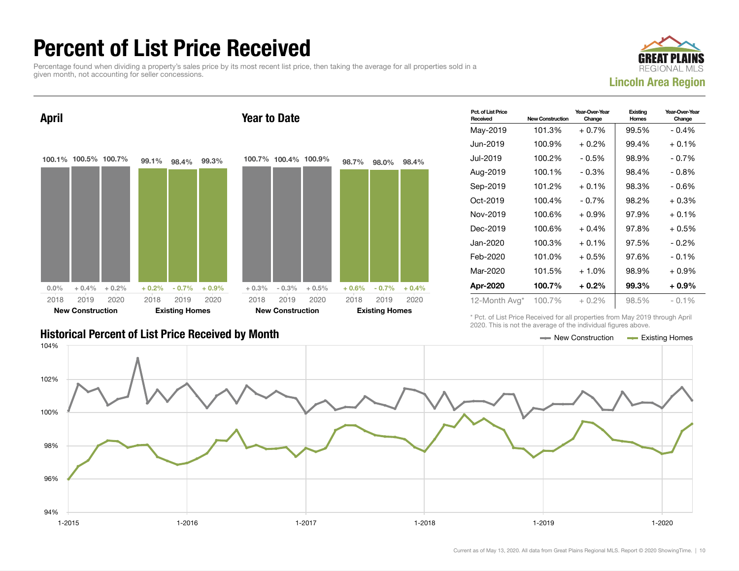### Percent of List Price Received

Percentage found when dividing a property's sales price by its most recent list price, then taking the average for all properties sold in a given month, not accounting for seller concessions.





| Pct. of List Price<br>Received | <b>New Construction</b> | Year-Over-Year<br>Change | Existing<br>Homes | Year-Over-Year<br>Change |
|--------------------------------|-------------------------|--------------------------|-------------------|--------------------------|
| May-2019                       | 101.3%                  | $+0.7%$                  | 99.5%             | $-0.4%$                  |
| Jun-2019                       | 100.9%                  | $+0.2\%$                 | 99.4%             | $+0.1\%$                 |
| Jul-2019                       | 100.2%                  | $-0.5%$                  | 98.9%             | - 0.7%                   |
| Aug-2019                       | 100.1%                  | $-0.3%$                  | 98.4%             | $-0.8%$                  |
| Sep-2019                       | 101.2%                  | $+0.1%$                  | 98.3%             | $-0.6%$                  |
| Oct-2019                       | 100.4%                  | $-0.7\%$                 | 98.2%             | $+0.3\%$                 |
| Nov-2019                       | 100.6%                  | $+0.9%$                  | 97.9%             | $+0.1%$                  |
| Dec-2019                       | 100.6%                  | $+0.4\%$                 | 97.8%             | $+0.5\%$                 |
| Jan-2020                       | 100.3%                  | $+0.1%$                  | 97.5%             | $-0.2%$                  |
| Feb-2020                       | 101.0%                  | $+0.5\%$                 | 97.6%             | $-0.1%$                  |
| Mar-2020                       | 101.5%                  | $+1.0%$                  | 98.9%             | $+0.9\%$                 |
| Apr-2020                       | 100.7%                  | $+0.2\%$                 | 99.3%             | $+0.9\%$                 |
| 12-Month Avg*                  | 100.7%                  | $+0.2\%$                 | 98.5%             | $-0.1\%$                 |

Historical Percent of List Price Received by Month New Construction According Homes

\* Pct. of List Price Received for all properties from May 2019 through April 2020. This is not the average of the individual figures above.

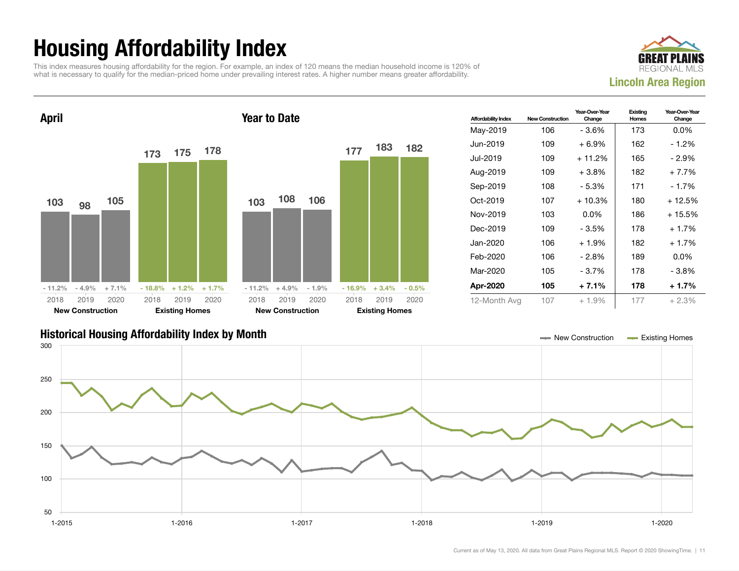## Housing Affordability Index

This index measures housing affordability for the region. For example, an index of 120 means the median household income is 120% of what is necessary to qualify for the median-priced home under prevailing interest rates. A higher number means greater affordability.





| <b>Affordability Index</b> | <b>New Construction</b> | Year-Over-Year<br>Change | Existing<br>Homes | Year-Over-Year<br>Change |
|----------------------------|-------------------------|--------------------------|-------------------|--------------------------|
| May-2019                   | 106                     | - 3.6%                   | 173               | $0.0\%$                  |
| Jun-2019                   | 109                     | $+6.9\%$                 | 162               | $-1.2%$                  |
| Jul-2019.                  | 109                     | $+11.2%$                 | 165               | - 2.9%                   |
| Aug-2019                   | 109                     | $+3.8\%$                 | 182               | $+7.7%$                  |
| Sep-2019                   | 108                     | - 5.3%                   | 171               | - 1.7%                   |
| Oct-2019                   | 107                     | $+10.3%$                 | 180               | + 12.5%                  |
| Nov-2019                   | 103                     | $0.0\%$                  | 186               | $+15.5%$                 |
| Dec-2019                   | 109                     | - 3.5%                   | 178               | $+1.7%$                  |
| Jan-2020                   | 106                     | $+1.9%$                  | 182               | $+1.7%$                  |
| Feb-2020                   | 106                     | - 2.8%                   | 189               | $0.0\%$                  |
| Mar-2020                   | 105                     | $-3.7%$                  | 178               | - 3.8%                   |
| Apr-2020                   | 105                     | $+7.1%$                  | 178               | $+1.7%$                  |
| 12-Month Avg               | 107                     | $+1.9%$                  | 177               | $+2.3%$                  |

#### Historical Housing Affordability Index by Month New Construction Existing Homes

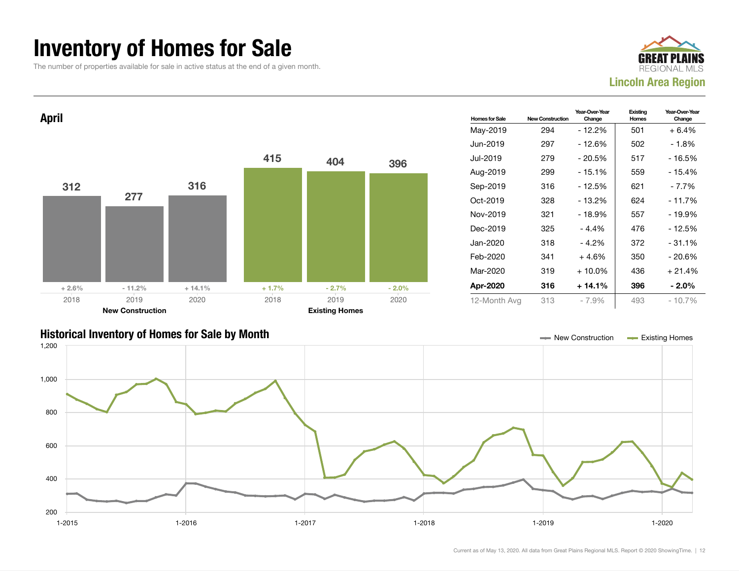#### Inventory of Homes for Sale

The number of properties available for sale in active status at the end of a given month.





#### Historical Inventory of Homes for Sale by Month New Construction Existing Homes

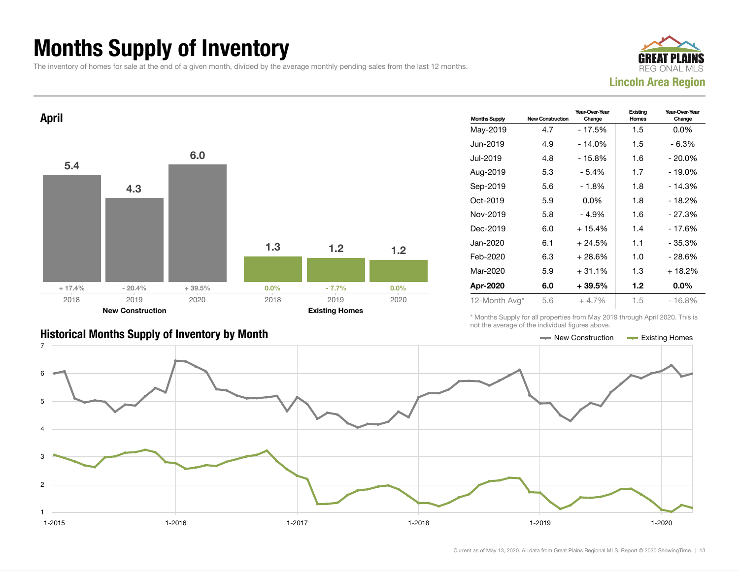### Months Supply of Inventory

The inventory of homes for sale at the end of a given month, divided by the average monthly pending sales from the last 12 months.





| <b>Months Supply</b> | <b>New Construction</b> | Year-Over-Year<br>Change | Existing<br>Homes | Year-Over-Year<br>Change |
|----------------------|-------------------------|--------------------------|-------------------|--------------------------|
| May-2019             | 4.7                     | - 17.5%                  | 1.5               | $0.0\%$                  |
| Jun-2019             | 4.9                     | $-14.0%$                 | 1.5               | $-6.3%$                  |
| Jul-2019.            | 4.8                     | $-15.8%$                 | 1.6               | $-20.0\%$                |
| Aug-2019             | 5.3                     | - 5.4%                   | 1.7               | $-19.0%$                 |
| Sep-2019             | 5.6                     | $-1.8%$                  | 1.8               | $-14.3%$                 |
| Oct-2019             | 5.9                     | $0.0\%$                  | 1.8               | $-18.2%$                 |
| Nov-2019             | 5.8                     | - 4.9%                   | 1.6               | - 27.3%                  |
| Dec-2019             | 6.0                     | $+15.4%$                 | 1.4               | - 17.6%                  |
| Jan-2020             | 6.1                     | $+24.5%$                 | 1.1               | - 35.3%                  |
| Feb-2020             | 6.3                     | + 28.6%                  | 1.0               | - 28.6%                  |
| Mar-2020             | 5.9                     | $+31.1%$                 | 1.3               | $+18.2%$                 |
| Apr-2020             | 6.0                     | + 39.5%                  | 1.2               | $0.0\%$                  |
| 12-Month Avg*        | 5.6                     | $+4.7%$                  | 1.5               | $-16.8%$                 |

\* Months Supply for all properties from May 2019 through April 2020. This is not the average of the individual figures above.